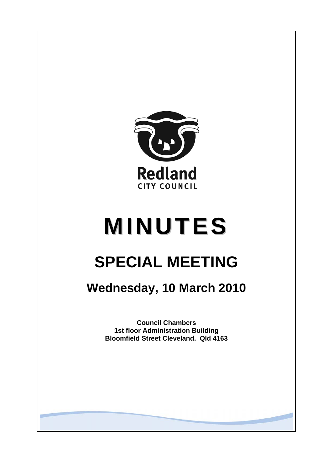

# **MINUTES**

## **SPECIAL MEETING**

**Wednesday, 10 March 2010** 

**Council Chambers 1st floor Administration Building Bloomfield Street Cleveland. Qld 4163**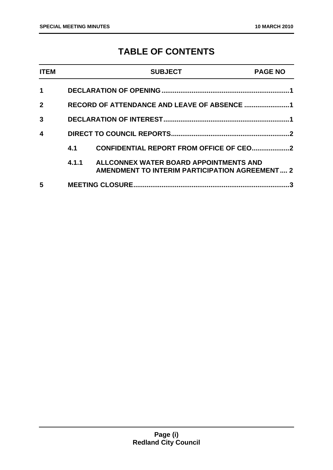### **TABLE OF CONTENTS**

| <b>ITEM</b>  |                                             | <b>SUBJECT</b>                                                                                  | <b>PAGE NO</b> |
|--------------|---------------------------------------------|-------------------------------------------------------------------------------------------------|----------------|
| 1            |                                             |                                                                                                 |                |
| $\mathbf{2}$ | RECORD OF ATTENDANCE AND LEAVE OF ABSENCE 1 |                                                                                                 |                |
| 3            |                                             |                                                                                                 |                |
| 4            |                                             |                                                                                                 |                |
|              | 4.1                                         |                                                                                                 |                |
|              | 4.1.1                                       | ALLCONNEX WATER BOARD APPOINTMENTS AND<br><b>AMENDMENT TO INTERIM PARTICIPATION AGREEMENT 2</b> |                |
| 5            |                                             | <b>MEETING CLOSURE.</b>                                                                         |                |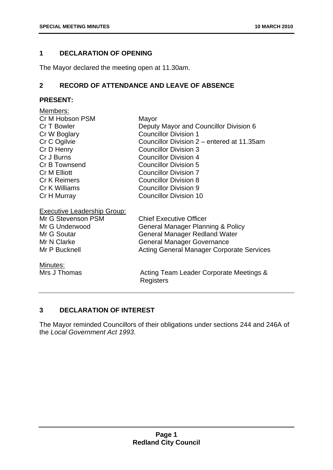#### **1 DECLARATION OF OPENING**

The Mayor declared the meeting open at 11.30am.

#### **2 RECORD OF ATTENDANCE AND LEAVE OF ABSENCE**

#### **PRESENT:**

| Members:                           |                                                      |
|------------------------------------|------------------------------------------------------|
| Cr M Hobson PSM                    | Mayor                                                |
| Cr T Bowler                        | Deputy Mayor and Councillor Division 6               |
| Cr W Boglary                       | <b>Councillor Division 1</b>                         |
| Cr C Ogilvie                       | Councillor Division 2 – entered at 11.35am           |
| Cr D Henry                         | <b>Councillor Division 3</b>                         |
| Cr J Burns                         | <b>Councillor Division 4</b>                         |
| Cr B Townsend                      | <b>Councillor Division 5</b>                         |
| <b>Cr M Elliott</b>                | <b>Councillor Division 7</b>                         |
| <b>Cr K Reimers</b>                | <b>Councillor Division 8</b>                         |
| Cr K Williams                      | <b>Councillor Division 9</b>                         |
| Cr H Murray                        | <b>Councillor Division 10</b>                        |
| <b>Executive Leadership Group:</b> |                                                      |
| Mr G Stevenson PSM                 | <b>Chief Executive Officer</b>                       |
| Mr G Underwood                     | General Manager Planning & Policy                    |
| Mr G Soutar                        | <b>General Manager Redland Water</b>                 |
| Mr N Clarke                        | <b>General Manager Governance</b>                    |
|                                    |                                                      |
| Minutes:                           |                                                      |
| Mrs J Thomas                       | Acting Team Leader Corporate Meetings &<br>Registers |
| Mr P Bucknell                      | <b>Acting General Manager Corporate Services</b>     |

#### **3 DECLARATION OF INTEREST**

The Mayor reminded Councillors of their obligations under sections 244 and 246A of the *Local Government Act 1993*.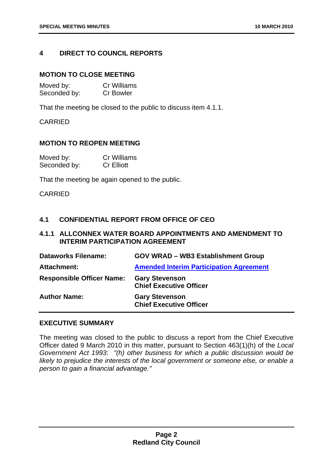#### **4 DIRECT TO COUNCIL REPORTS**

#### **MOTION TO CLOSE MEETING**

| Moved by:    | <b>Cr Williams</b> |
|--------------|--------------------|
| Seconded by: | <b>Cr Bowler</b>   |

That the meeting be closed to the public to discuss item 4.1.1.

CARRIED

#### **MOTION TO REOPEN MEETING**

| Moved by:    | <b>Cr Williams</b> |
|--------------|--------------------|
| Seconded by: | <b>Cr Elliott</b>  |

That the meeting be again opened to the public.

CARRIED

#### **4.1 CONFIDENTIAL REPORT FROM OFFICE OF CEO**

#### **4.1.1 ALLCONNEX WATER BOARD APPOINTMENTS AND AMENDMENT TO INTERIM PARTICIPATION AGREEMENT**

| <b>Dataworks Filename:</b>       | <b>GOV WRAD - WB3 Establishment Group</b>               |
|----------------------------------|---------------------------------------------------------|
| Attachment:                      | <b>Amended Interim Participation Agreement</b>          |
| <b>Responsible Officer Name:</b> | <b>Gary Stevenson</b><br><b>Chief Executive Officer</b> |
| <b>Author Name:</b>              | <b>Gary Stevenson</b><br><b>Chief Executive Officer</b> |

#### **EXECUTIVE SUMMARY**

The meeting was closed to the public to discuss a report from the Chief Executive Officer dated 9 March 2010 in this matter, pursuant to Section 463(1)(h) of the *Local Government Act 1993*: *"(h) other business for which a public discussion would be*  likely to prejudice the interests of the local government or someone else, or enable a *person to gain a financial advantage."*